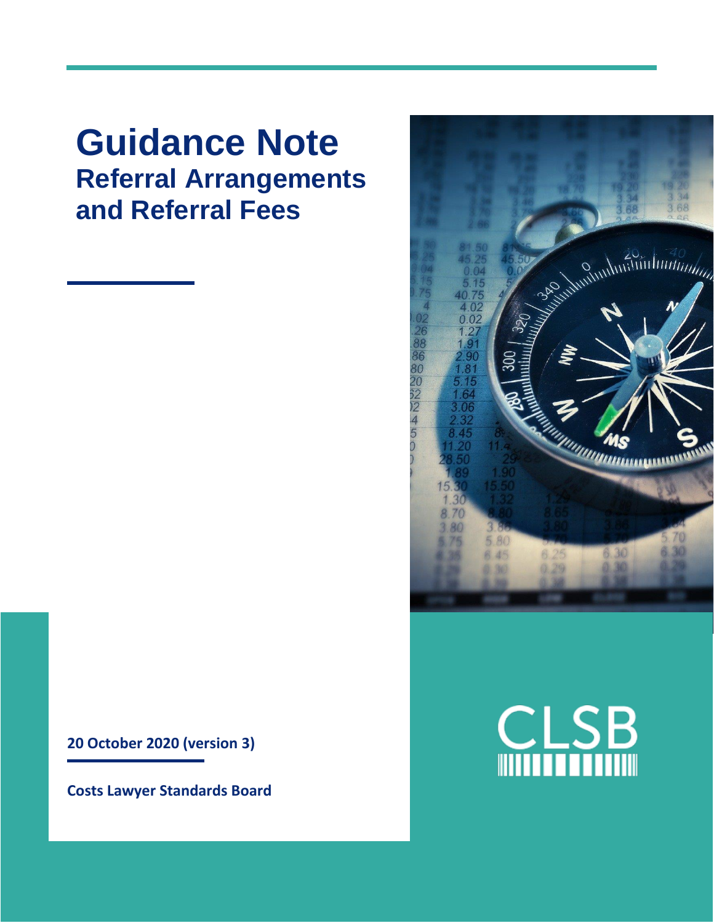# **Guidance Note Referral Arrangements and Referral Fees**



**Costs Lawyer Standards Board**



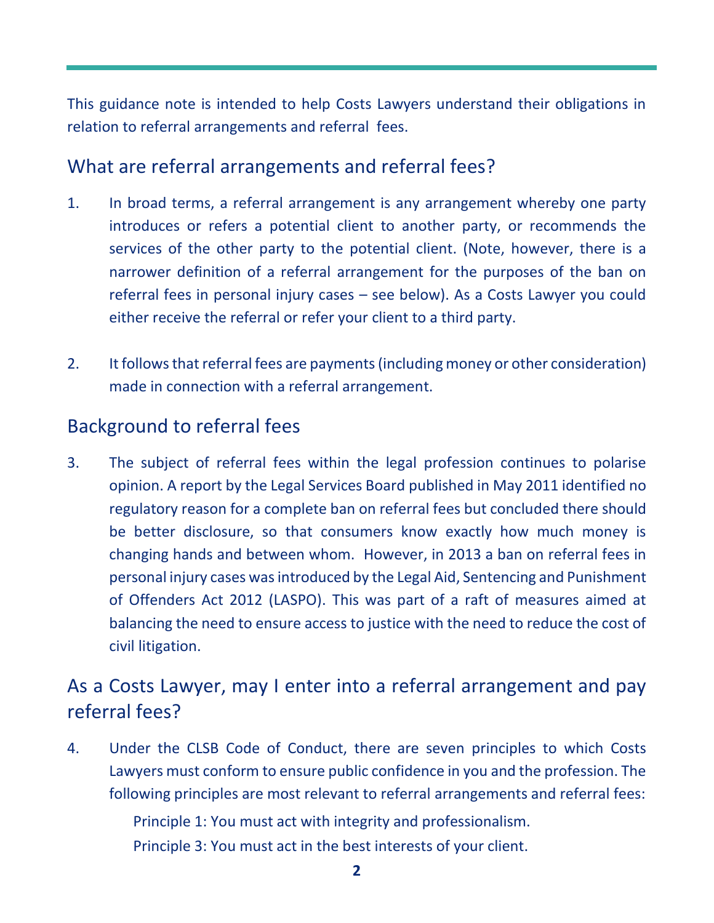This guidance note is intended to help Costs Lawyers understand their obligations in relation to referral arrangements and referral fees.

#### What are referral arrangements and referral fees?

- 1. In broad terms, a referral arrangement is any arrangement whereby one party introduces or refers a potential client to another party, or recommends the services of the other party to the potential client. (Note, however, there is a narrower definition of a referral arrangement for the purposes of the ban on referral fees in personal injury cases – see below). As a Costs Lawyer you could either receive the referral or refer your client to a third party.
- 2. It follows that referral fees are payments(including money or other consideration) made in connection with a referral arrangement.

## Background to referral fees

3. The subject of referral fees within the legal profession continues to polarise opinion. A report by the Legal Services Board published in May 2011 identified no regulatory reason for a complete ban on referral fees but concluded there should be better disclosure, so that consumers know exactly how much money is changing hands and between whom. However, in 2013 a ban on referral fees in personal injury cases was introduced by the Legal Aid, Sentencing and Punishment of Offenders Act 2012 (LASPO). This was part of a raft of measures aimed at balancing the need to ensure access to justice with the need to reduce the cost of civil litigation.

## As a Costs Lawyer, may I enter into a referral arrangement and pay referral fees?

4. Under the CLSB Code of Conduct, there are seven principles to which Costs Lawyers must conform to ensure public confidence in you and the profession. The following principles are most relevant to referral arrangements and referral fees:

Principle 1: You must act with integrity and professionalism.

Principle 3: You must act in the best interests of your client.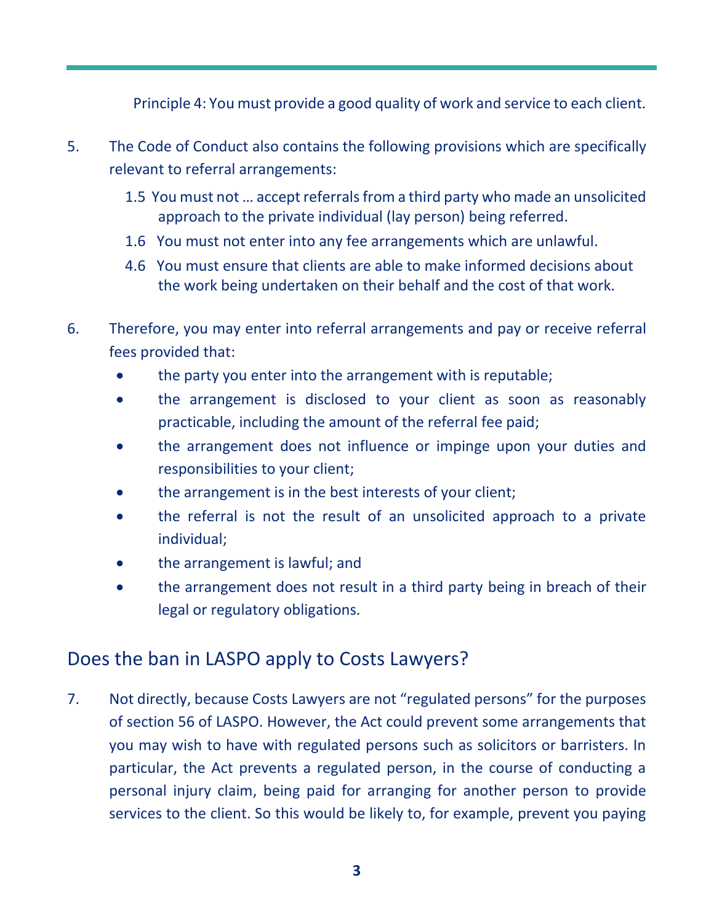Principle 4: You must provide a good quality of work and service to each client.

- 5. The Code of Conduct also contains the following provisions which are specifically relevant to referral arrangements:
	- 1.5 You must not … accept referrals from a third party who made an unsolicited approach to the private individual (lay person) being referred.
	- 1.6 You must not enter into any fee arrangements which are unlawful.
	- 4.6 You must ensure that clients are able to make informed decisions about the work being undertaken on their behalf and the cost of that work.
- 6. Therefore, you may enter into referral arrangements and pay or receive referral fees provided that:
	- the party you enter into the arrangement with is reputable;
	- the arrangement is disclosed to your client as soon as reasonably practicable, including the amount of the referral fee paid;
	- the arrangement does not influence or impinge upon your duties and responsibilities to your client;
	- the arrangement is in the best interests of your client;
	- the referral is not the result of an unsolicited approach to a private individual;
	- the arrangement is lawful; and
	- the arrangement does not result in a third party being in breach of their legal or regulatory obligations.

## Does the ban in LASPO apply to Costs Lawyers?

7. Not directly, because Costs Lawyers are not "regulated persons" for the purposes of section 56 of LASPO. However, the Act could prevent some arrangements that you may wish to have with regulated persons such as solicitors or barristers. In particular, the Act prevents a regulated person, in the course of conducting a personal injury claim, being paid for arranging for another person to provide services to the client. So this would be likely to, for example, prevent you paying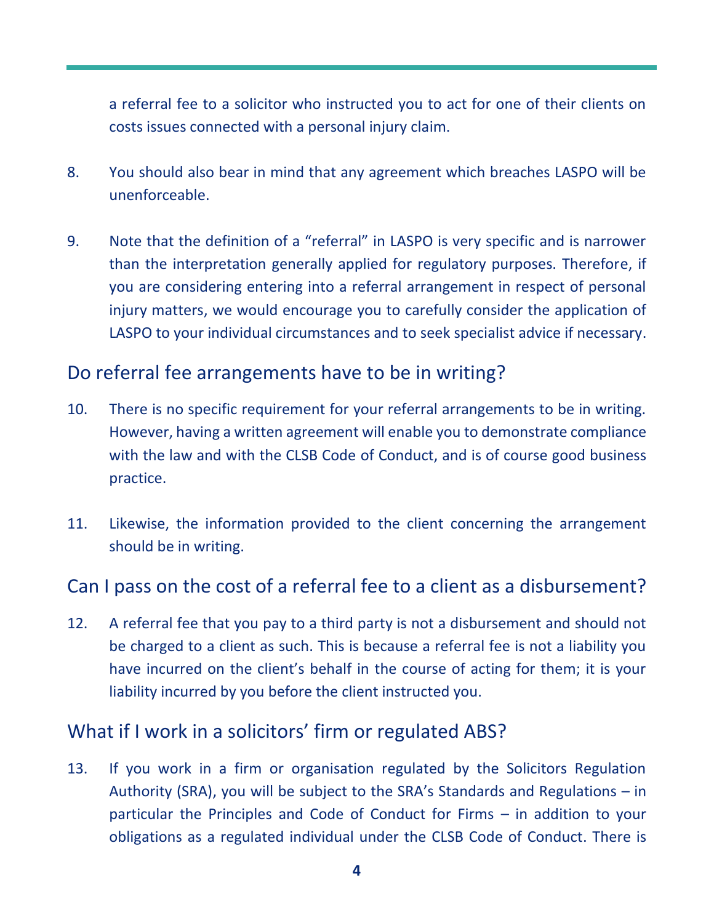a referral fee to a solicitor who instructed you to act for one of their clients on costs issues connected with a personal injury claim.

- 8. You should also bear in mind that any agreement which breaches LASPO will be unenforceable.
- 9. Note that the definition of a "referral" in LASPO is very specific and is narrower than the interpretation generally applied for regulatory purposes. Therefore, if you are considering entering into a referral arrangement in respect of personal injury matters, we would encourage you to carefully consider the application of LASPO to your individual circumstances and to seek specialist advice if necessary.

## Do referral fee arrangements have to be in writing?

- 10. There is no specific requirement for your referral arrangements to be in writing. However, having a written agreement will enable you to demonstrate compliance with the law and with the CLSB Code of Conduct, and is of course good business practice.
- 11. Likewise, the information provided to the client concerning the arrangement should be in writing.

## Can I pass on the cost of a referral fee to a client as a disbursement?

12. A referral fee that you pay to a third party is not a disbursement and should not be charged to a client as such. This is because a referral fee is not a liability you have incurred on the client's behalf in the course of acting for them; it is your liability incurred by you before the client instructed you.

## What if I work in a solicitors' firm or regulated ABS?

13. If you work in a firm or organisation regulated by the Solicitors Regulation Authority (SRA), you will be subject to the SRA's Standards and Regulations – in particular the Principles and Code of Conduct for Firms – in addition to your obligations as a regulated individual under the CLSB Code of Conduct. There is